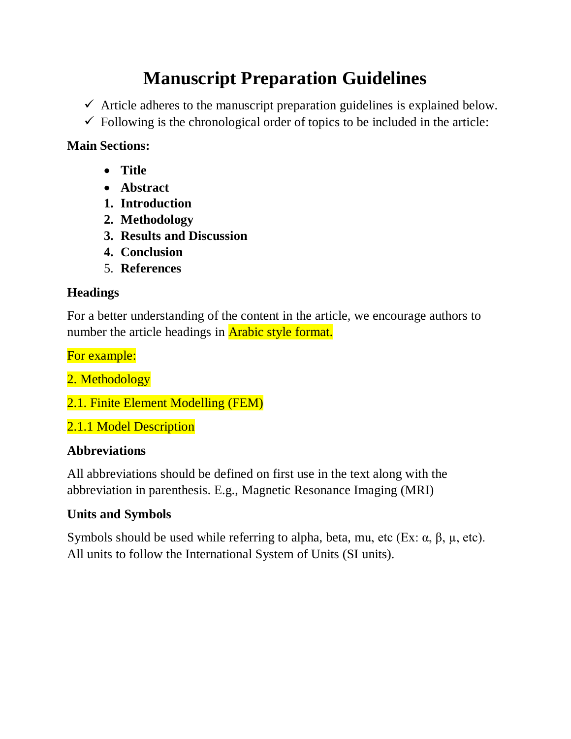# **Manuscript Preparation Guidelines**

- $\checkmark$  Article adheres to the manuscript preparation guidelines is explained below.
- $\checkmark$  Following is the chronological order of topics to be included in the article:

### **Main Sections:**

- **Title**
- **Abstract**
- **1. Introduction**
- **2. Methodology**
- **3. Results and Discussion**
- **4. Conclusion**
- 5. **References**

### **Headings**

For a better understanding of the content in the article, we encourage authors to number the article headings in **Arabic style format.** 

For example:

2. Methodology

2.1. Finite Element Modelling (FEM)

2.1.1 Model Description

### **Abbreviations**

All abbreviations should be defined on first use in the text along with the abbreviation in parenthesis. E.g., Magnetic Resonance Imaging (MRI)

### **Units and Symbols**

Symbols should be used while referring to alpha, beta, mu, etc (Ex:  $\alpha$ ,  $\beta$ ,  $\mu$ , etc). All units to follow the International System of Units (SI units).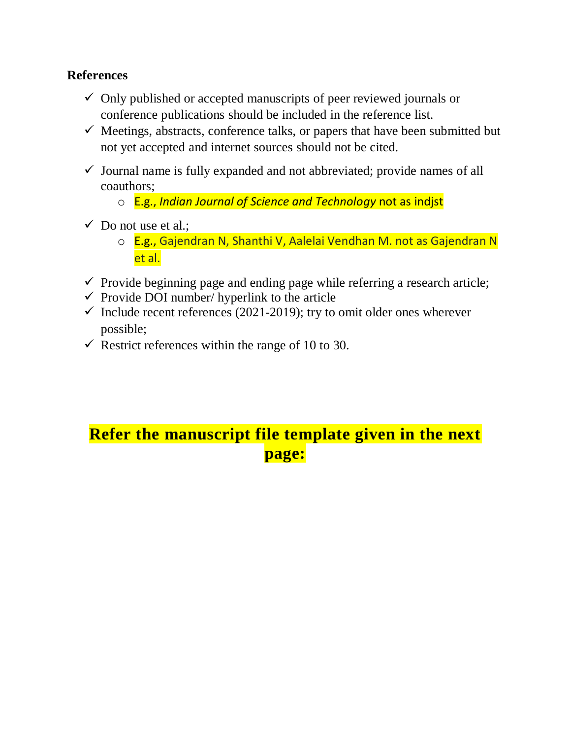### **References**

- $\checkmark$  Only published or accepted manuscripts of peer reviewed journals or conference publications should be included in the reference list.
- $\checkmark$  Meetings, abstracts, conference talks, or papers that have been submitted but not yet accepted and internet sources should not be cited.
- $\checkmark$  Journal name is fully expanded and not abbreviated; provide names of all coauthors;
	- o E.g., *Indian Journal of Science and Technology* not as indjst
- $\checkmark$  Do not use et al.;
	- o E.g., Gajendran N, Shanthi V, Aalelai Vendhan M. not as Gajendran N et al.
- $\checkmark$  Provide beginning page and ending page while referring a research article;
- $\checkmark$  Provide DOI number/ hyperlink to the article
- $\checkmark$  Include recent references (2021-2019); try to omit older ones wherever possible;
- $\checkmark$  Restrict references within the range of 10 to 30.

# **Refer the manuscript file template given in the next page:**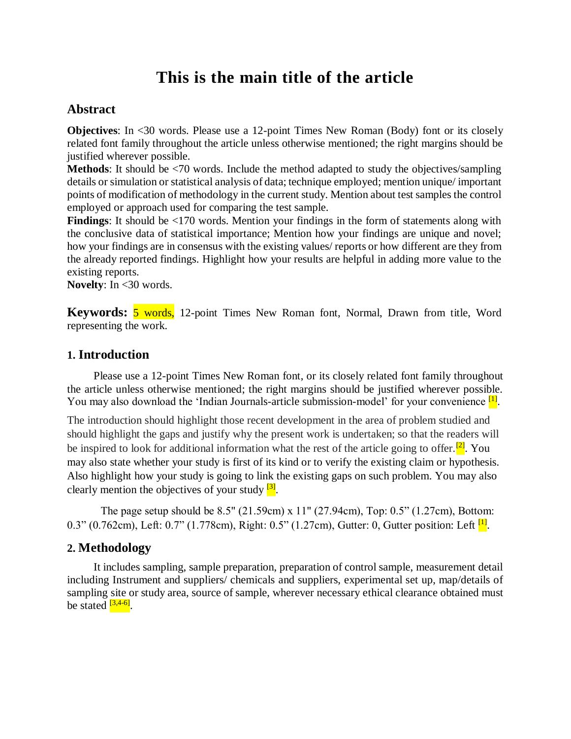## **This is the main title of the article**

#### **Abstract**

**Objectives:** In <30 words. Please use a 12-point Times New Roman (Body) font or its closely related font family throughout the article unless otherwise mentioned; the right margins should be justified wherever possible.

**Methods**: It should be <70 words. Include the method adapted to study the objectives/sampling details or simulation or statistical analysis of data; technique employed; mention unique/ important points of modification of methodology in the current study. Mention about test samples the control employed or approach used for comparing the test sample.

Findings: It should be <170 words. Mention your findings in the form of statements along with the conclusive data of statistical importance; Mention how your findings are unique and novel; how your findings are in consensus with the existing values/ reports or how different are they from the already reported findings. Highlight how your results are helpful in adding more value to the existing reports.

**Novelty**: In <30 words.

**Keywords:** 5 words, 12-point Times New Roman font, Normal, Drawn from title, Word representing the work.

#### **1. Introduction**

Please use a 12-point Times New Roman font, or its closely related font family throughout the article unless otherwise mentioned; the right margins should be justified wherever possible. You may also download the 'Indian Journals-article submission-model' for your convenience [1].

The introduction should highlight those recent development in the area of problem studied and should highlight the gaps and justify why the present work is undertaken; so that the readers will be inspired to look for additional information what the rest of the article going to offer.<sup>[2]</sup>. You may also state whether your study is first of its kind or to verify the existing claim or hypothesis. Also highlight how your study is going to link the existing gaps on such problem. You may also clearly mention the objectives of your study <sup>[3]</sup>.

The page setup should be 8.5" (21.59cm) x 11" (27.94cm), Top: 0.5" (1.27cm), Bottom: 0.3" (0.762cm), Left: 0.7" (1.778cm), Right: 0.5" (1.27cm), Gutter: 0, Gutter position: Left <sup>[1]</sup>.

#### **2. Methodology**

It includes sampling, sample preparation, preparation of control sample, measurement detail including Instrument and suppliers/ chemicals and suppliers, experimental set up, map/details of sampling site or study area, source of sample, wherever necessary ethical clearance obtained must be stated <sup>[3,4-6]</sup>.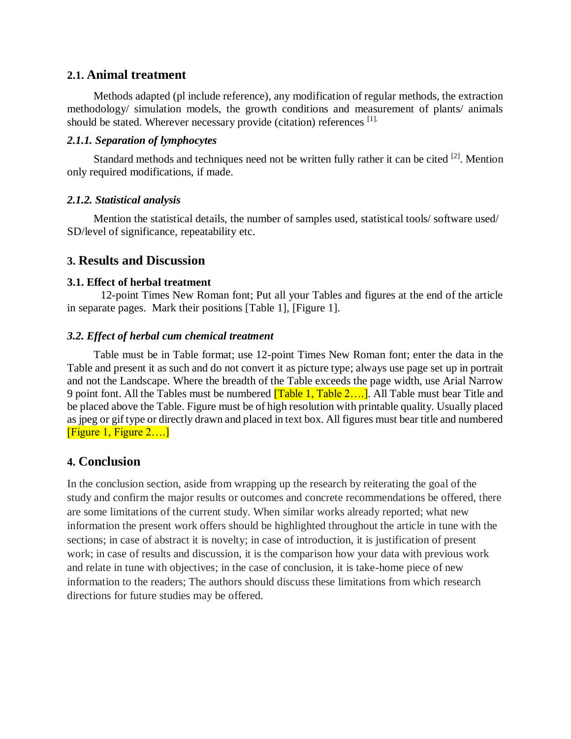#### **2.1. Animal treatment**

Methods adapted (pl include reference), any modification of regular methods, the extraction methodology/ simulation models, the growth conditions and measurement of plants/ animals should be stated. Wherever necessary provide (citation) references [1].

#### *2.1.1. Separation of lymphocytes*

Standard methods and techniques need not be written fully rather it can be cited <sup>[2]</sup>. Mention only required modifications, if made.

#### *2.1.2. Statistical analysis*

Mention the statistical details, the number of samples used, statistical tools/ software used/ SD/level of significance, repeatability etc.

#### **3. Results and Discussion**

#### **3.1. Effect of herbal treatment**

12-point Times New Roman font; Put all your Tables and figures at the end of the article in separate pages. Mark their positions [Table 1], [Figure 1].

#### *3.2. Effect of herbal cum chemical treatment*

Table must be in Table format; use 12-point Times New Roman font; enter the data in the Table and present it as such and do not convert it as picture type; always use page set up in portrait and not the Landscape. Where the breadth of the Table exceeds the page width, use Arial Narrow 9 point font. All the Tables must be numbered **[Table 1, Table 2....]**. All Table must bear Title and be placed above the Table. Figure must be of high resolution with printable quality. Usually placed as jpeg or gif type or directly drawn and placed in text box. All figures must bear title and numbered [Figure 1, Figure 2….]

#### **4. Conclusion**

In the conclusion section, aside from wrapping up the research by reiterating the goal of the study and confirm the major results or outcomes and concrete recommendations be offered, there are some limitations of the current study. When similar works already reported; what new information the present work offers should be highlighted throughout the article in tune with the sections; in case of abstract it is novelty; in case of introduction, it is justification of present work; in case of results and discussion, it is the comparison how your data with previous work and relate in tune with objectives; in the case of conclusion, it is take-home piece of new information to the readers; The authors should discuss these limitations from which research directions for future studies may be offered.